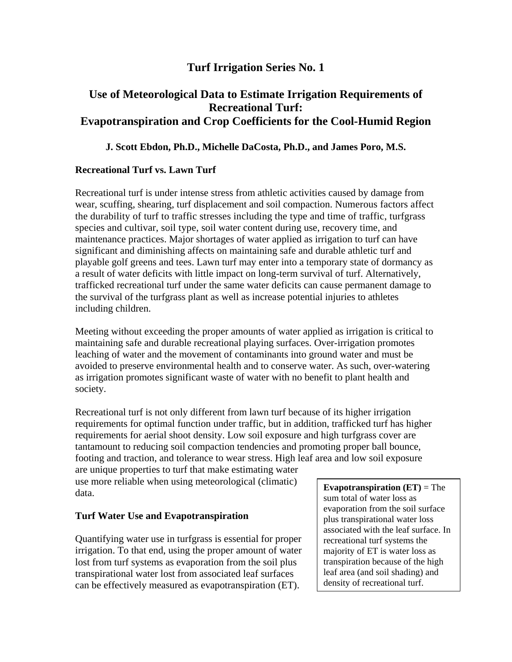## **Turf Irrigation Series No. 1**

# **Use of Meteorological Data to Estimate Irrigation Requirements of Recreational Turf: Evapotranspiration and Crop Coefficients for the Cool-Humid Region**

### **J. Scott Ebdon, Ph.D., Michelle DaCosta, Ph.D., and James Poro, M.S.**

### **Recreational Turf vs. Lawn Turf**

Recreational turf is under intense stress from athletic activities caused by damage from wear, scuffing, shearing, turf displacement and soil compaction. Numerous factors affect the durability of turf to traffic stresses including the type and time of traffic, turfgrass species and cultivar, soil type, soil water content during use, recovery time, and maintenance practices. Major shortages of water applied as irrigation to turf can have significant and diminishing affects on maintaining safe and durable athletic turf and playable golf greens and tees. Lawn turf may enter into a temporary state of dormancy as a result of water deficits with little impact on long-term survival of turf. Alternatively, trafficked recreational turf under the same water deficits can cause permanent damage to the survival of the turfgrass plant as well as increase potential injuries to athletes including children.

Meeting without exceeding the proper amounts of water applied as irrigation is critical to maintaining safe and durable recreational playing surfaces. Over-irrigation promotes leaching of water and the movement of contaminants into ground water and must be avoided to preserve environmental health and to conserve water. As such, over-watering as irrigation promotes significant waste of water with no benefit to plant health and society.

Recreational turf is not only different from lawn turf because of its higher irrigation requirements for optimal function under traffic, but in addition, trafficked turf has higher requirements for aerial shoot density. Low soil exposure and high turfgrass cover are tantamount to reducing soil compaction tendencies and promoting proper ball bounce, footing and traction, and tolerance to wear stress. High leaf area and low soil exposure

are unique properties to turf that make estimating water use more reliable when using meteorological (climatic) data.

#### **Turf Water Use and Evapotranspiration**

Quantifying water use in turfgrass is essential for proper irrigation. To that end, using the proper amount of water lost from turf systems as evaporation from the soil plus transpirational water lost from associated leaf surfaces can be effectively measured as evapotranspiration (ET).

**Evapotranspiration (ET)** = The sum total of water loss as evaporation from the soil surface plus transpirational water loss associated with the leaf surface. In recreational turf systems the majority of ET is water loss as transpiration because of the high leaf area (and soil shading) and density of recreational turf.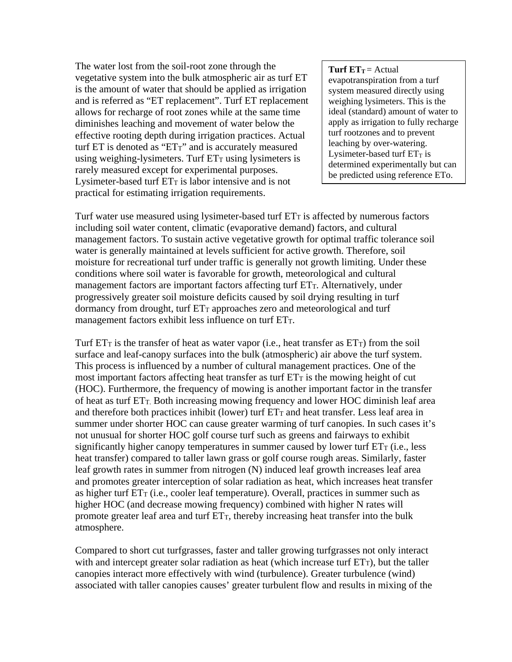The water lost from the soil-root zone through the vegetative system into the bulk atmospheric air as turf ET is the amount of water that should be applied as irrigation and is referred as "ET replacement". Turf ET replacement allows for recharge of root zones while at the same time diminishes leaching and movement of water below the effective rooting depth during irrigation practices. Actual turf  $ET$  is denoted as " $ETT$ " and is accurately measured using weighing-lysimeters. Turf  $ET<sub>T</sub>$  using lysimeters is rarely measured except for experimental purposes. Lysimeter-based turf  $ET_T$  is labor intensive and is not practical for estimating irrigation requirements.

**Turf**  $ET_T = \text{Actual}$ evapotranspiration from a turf system measured directly using weighing lysimeters. This is the ideal (standard) amount of water to apply as irrigation to fully recharge turf rootzones and to prevent leaching by over-watering. Lysimeter-based turf  $ET_T$  is determined experimentally but can be predicted using reference ETo.

Turf water use measured using lysimeter-based turf  $ET<sub>T</sub>$  is affected by numerous factors including soil water content, climatic (evaporative demand) factors, and cultural management factors. To sustain active vegetative growth for optimal traffic tolerance soil water is generally maintained at levels sufficient for active growth. Therefore, soil moisture for recreational turf under traffic is generally not growth limiting. Under these conditions where soil water is favorable for growth, meteorological and cultural management factors are important factors affecting turf ET<sub>T</sub>. Alternatively, under progressively greater soil moisture deficits caused by soil drying resulting in turf dormancy from drought, turf  $ET_T$  approaches zero and meteorological and turf management factors exhibit less influence on turf ETT.

Turf  $ET_T$  is the transfer of heat as water vapor (i.e., heat transfer as  $ET_T$ ) from the soil surface and leaf-canopy surfaces into the bulk (atmospheric) air above the turf system. This process is influenced by a number of cultural management practices. One of the most important factors affecting heat transfer as turf  $ET<sub>T</sub>$  is the mowing height of cut (HOC). Furthermore, the frequency of mowing is another important factor in the transfer of heat as turf  $ET_T$ . Both increasing mowing frequency and lower HOC diminish leaf area and therefore both practices inhibit (lower) turf  $ET_T$  and heat transfer. Less leaf area in summer under shorter HOC can cause greater warming of turf canopies. In such cases it's not unusual for shorter HOC golf course turf such as greens and fairways to exhibit significantly higher canopy temperatures in summer caused by lower turf  $ET<sub>T</sub>$  (i.e., less heat transfer) compared to taller lawn grass or golf course rough areas. Similarly, faster leaf growth rates in summer from nitrogen (N) induced leaf growth increases leaf area and promotes greater interception of solar radiation as heat, which increases heat transfer as higher turf  $ET<sub>T</sub>$  (i.e., cooler leaf temperature). Overall, practices in summer such as higher HOC (and decrease mowing frequency) combined with higher N rates will promote greater leaf area and turf  $ET_T$ , thereby increasing heat transfer into the bulk atmosphere.

Compared to short cut turfgrasses, faster and taller growing turfgrasses not only interact with and intercept greater solar radiation as heat (which increase turf  $ET_T$ ), but the taller canopies interact more effectively with wind (turbulence). Greater turbulence (wind) associated with taller canopies causes' greater turbulent flow and results in mixing of the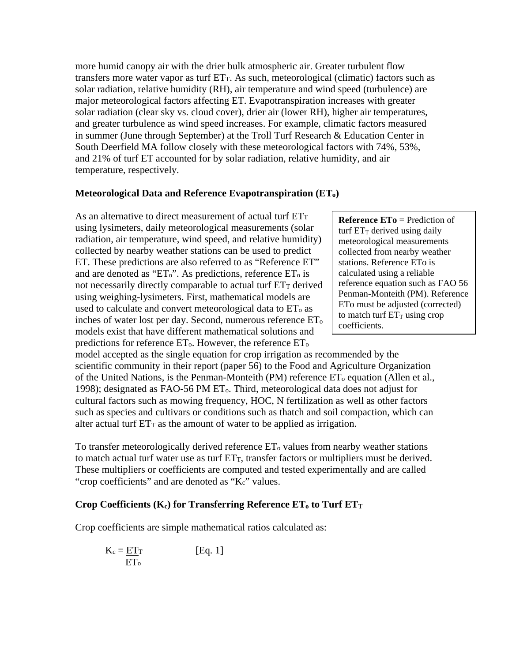more humid canopy air with the drier bulk atmospheric air. Greater turbulent flow transfers more water vapor as turf  $ET_T$ . As such, meteorological (climatic) factors such as solar radiation, relative humidity (RH), air temperature and wind speed (turbulence) are major meteorological factors affecting ET. Evapotranspiration increases with greater solar radiation (clear sky vs. cloud cover), drier air (lower RH), higher air temperatures, and greater turbulence as wind speed increases. For example, climatic factors measured in summer (June through September) at the Troll Turf Research & Education Center in South Deerfield MA follow closely with these meteorological factors with 74%, 53%, and 21% of turf ET accounted for by solar radiation, relative humidity, and air temperature, respectively.

#### **Meteorological Data and Reference Evapotranspiration (ETo)**

As an alternative to direct measurement of actual turf ET<sub>T</sub> using lysimeters, daily meteorological measurements (solar radiation, air temperature, wind speed, and relative humidity) collected by nearby weather stations can be used to predict ET. These predictions are also referred to as "Reference ET" and are denoted as "ET<sub>o</sub>". As predictions, reference ET<sub>o</sub> is not necessarily directly comparable to actual turf  $ET<sub>T</sub>$  derived using weighing-lysimeters. First, mathematical models are used to calculate and convert meteorological data to  $ET_0$  as inches of water lost per day. Second, numerous reference ETo models exist that have different mathematical solutions and predictions for reference  $ET_0$ . However, the reference  $ET_0$ 

**Reference ETo** = Prediction of turf  $ET_T$  derived using daily meteorological measurements collected from nearby weather stations. Reference ETo is calculated using a reliable reference equation such as FAO 56 Penman-Monteith (PM). Reference ETo must be adjusted (corrected) to match turf  $ET_T$  using crop coefficients.

model accepted as the single equation for crop irrigation as recommended by the scientific community in their report (paper 56) to the Food and Agriculture Organization of the United Nations, is the Penman-Monteith (PM) reference  $ET_0$  equation (Allen et al., 1998); designated as FAO-56 PM ETo. Third, meteorological data does not adjust for cultural factors such as mowing frequency, HOC, N fertilization as well as other factors such as species and cultivars or conditions such as thatch and soil compaction, which can alter actual turf  $ET_T$  as the amount of water to be applied as irrigation.

To transfer meteorologically derived reference  $ET_0$  values from nearby weather stations to match actual turf water use as turf  $ET_T$ , transfer factors or multipliers must be derived. These multipliers or coefficients are computed and tested experimentally and are called "crop coefficients" and are denoted as "K<sub>c</sub>" values.

#### Crop Coefficients  $(K_c)$  for Transferring Reference  $ET_0$  to Turf  $ET_T$

Crop coefficients are simple mathematical ratios calculated as:

$$
K_c = \frac{ETT}{ET_0}
$$
 [Eq. 1]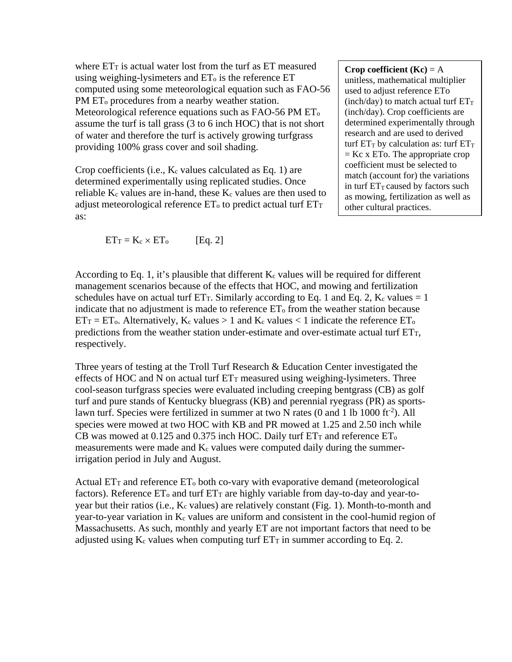where  $ET_T$  is actual water lost from the turf as  $ET$  measured using weighing-lysimeters and  $ET_0$  is the reference  $ET$ computed using some meteorological equation such as FAO-56 PM ET<sub>o</sub> procedures from a nearby weather station. Meteorological reference equations such as FAO-56 PM ET<sub>o</sub> assume the turf is tall grass (3 to 6 inch HOC) that is not short of water and therefore the turf is actively growing turfgrass providing 100% grass cover and soil shading.

Crop coefficients (i.e.,  $K_c$  values calculated as Eq. 1) are determined experimentally using replicated studies. Once reliable  $K_c$  values are in-hand, these  $K_c$  values are then used to adjust meteorological reference  $ET_0$  to predict actual turf  $ET_T$ as:

 $ET_T = K_c \times ET_o$  [Eq. 2]

**Crop coefficient**  $(Kc) = A$ unitless, mathematical multiplier used to adjust reference ETo (inch/day) to match actual turf  $ET_T$ (inch/day). Crop coefficients are determined experimentally through research and are used to derived turf  $ET_T$  by calculation as: turf  $ET_T$  $=$  Kc x ETo. The appropriate crop coefficient must be selected to match (account for) the variations in turf  $ET_T$  caused by factors such as mowing, fertilization as well as other cultural practices.

According to Eq. 1, it's plausible that different  $K_c$  values will be required for different management scenarios because of the effects that HOC, and mowing and fertilization schedules have on actual turf ET<sub>T</sub>. Similarly according to Eq. 1 and Eq. 2, K<sub>c</sub> values  $= 1$ indicate that no adjustment is made to reference  $ET_0$  from the weather station because  $ET_T = ET_0$ . Alternatively,  $K_c$  values  $> 1$  and  $K_c$  values  $< 1$  indicate the reference  $ET_0$ predictions from the weather station under-estimate and over-estimate actual turf  $ET<sub>T</sub>$ , respectively.

Three years of testing at the Troll Turf Research & Education Center investigated the effects of HOC and N on actual turf  $ET_T$  measured using weighing-lysimeters. Three cool-season turfgrass species were evaluated including creeping bentgrass (CB) as golf turf and pure stands of Kentucky bluegrass (KB) and perennial ryegrass (PR) as sportslawn turf. Species were fertilized in summer at two N rates (0 and 1 lb 1000 ft<sup>-2</sup>). All species were mowed at two HOC with KB and PR mowed at 1.25 and 2.50 inch while CB was mowed at 0.125 and 0.375 inch HOC. Daily turf  $ET_T$  and reference  $ET_0$ measurements were made and  $K_c$  values were computed daily during the summerirrigation period in July and August.

Actual  $ET_T$  and reference  $ET_0$  both co-vary with evaporative demand (meteorological factors). Reference  $ET_0$  and turf  $ET_T$  are highly variable from day-to-day and year-toyear but their ratios (i.e., K<sub>c</sub> values) are relatively constant (Fig. 1). Month-to-month and year-to-year variation in K<sub>c</sub> values are uniform and consistent in the cool-humid region of Massachusetts. As such, monthly and yearly ET are not important factors that need to be adjusted using  $K_c$  values when computing turf  $ET_T$  in summer according to Eq. 2.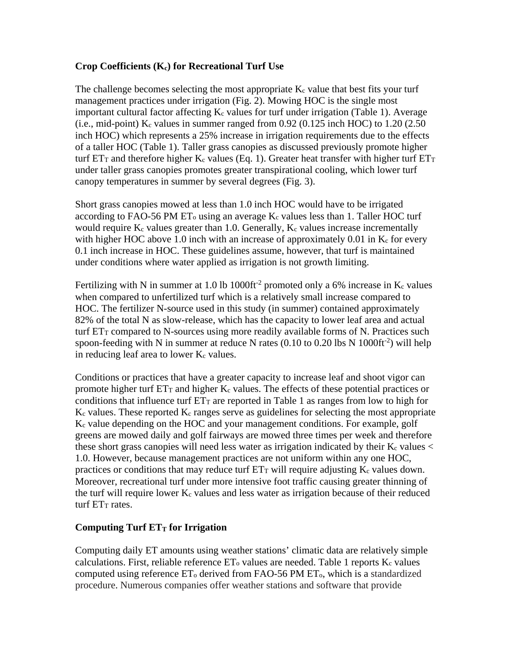### **Crop Coefficients (Kc) for Recreational Turf Use**

The challenge becomes selecting the most appropriate  $K_c$  value that best fits your turf management practices under irrigation (Fig. 2). Mowing HOC is the single most important cultural factor affecting  $K_c$  values for turf under irrigation (Table 1). Average (i.e., mid-point)  $K_c$  values in summer ranged from 0.92 (0.125 inch HOC) to 1.20 (2.50 inch HOC) which represents a 25% increase in irrigation requirements due to the effects of a taller HOC (Table 1). Taller grass canopies as discussed previously promote higher turf  $ET_T$  and therefore higher K<sub>c</sub> values (Eq. 1). Greater heat transfer with higher turf  $ET_T$ under taller grass canopies promotes greater transpirational cooling, which lower turf canopy temperatures in summer by several degrees (Fig. 3).

Short grass canopies mowed at less than 1.0 inch HOC would have to be irrigated according to FAO-56 PM ET<sub>o</sub> using an average  $K_c$  values less than 1. Taller HOC turf would require  $K_c$  values greater than 1.0. Generally,  $K_c$  values increase incrementally with higher HOC above 1.0 inch with an increase of approximately 0.01 in  $K_c$  for every 0.1 inch increase in HOC. These guidelines assume, however, that turf is maintained under conditions where water applied as irrigation is not growth limiting.

Fertilizing with N in summer at 1.0 lb 1000ft<sup>-2</sup> promoted only a 6% increase in K<sub>c</sub> values when compared to unfertilized turf which is a relatively small increase compared to HOC. The fertilizer N-source used in this study (in summer) contained approximately 82% of the total N as slow-release, which has the capacity to lower leaf area and actual turf  $ET_T$  compared to N-sources using more readily available forms of N. Practices such spoon-feeding with N in summer at reduce N rates  $(0.10 \text{ to } 0.20 \text{ lbs N } 1000 \text{ ft}^{-2})$  will help in reducing leaf area to lower  $K_c$  values.

Conditions or practices that have a greater capacity to increase leaf and shoot vigor can promote higher turf  $ET_T$  and higher  $K_c$  values. The effects of these potential practices or conditions that influence turf  $ET_T$  are reported in Table 1 as ranges from low to high for  $K_c$  values. These reported  $K_c$  ranges serve as guidelines for selecting the most appropriate Kc value depending on the HOC and your management conditions. For example, golf greens are mowed daily and golf fairways are mowed three times per week and therefore these short grass canopies will need less water as irrigation indicated by their  $K_c$  values  $\lt$ 1.0. However, because management practices are not uniform within any one HOC, practices or conditions that may reduce turf  $ET<sub>T</sub>$  will require adjusting  $K<sub>c</sub>$  values down. Moreover, recreational turf under more intensive foot traffic causing greater thinning of the turf will require lower  $K_c$  values and less water as irrigation because of their reduced turf ET<sub>T</sub> rates.

#### **Computing Turf ETT** for Irrigation

Computing daily ET amounts using weather stations' climatic data are relatively simple calculations. First, reliable reference  $ET_0$  values are needed. Table 1 reports  $K_c$  values computed using reference  $ET_0$  derived from FAO-56 PM  $ET_0$ , which is a standardized procedure. Numerous companies offer weather stations and software that provide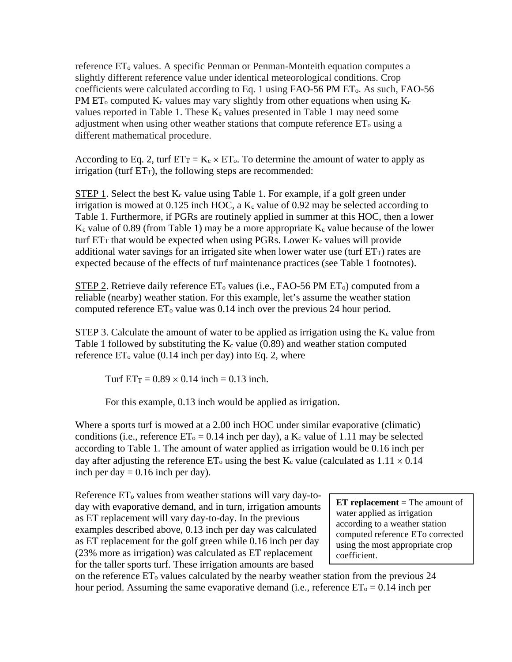reference ET<sub>o</sub> values. A specific Penman or Penman-Monteith equation computes a slightly different reference value under identical meteorological conditions. Crop coefficients were calculated according to Eq. 1 using FAO-56 PM ETo. As such, FAO-56 PM  $ET_0$  computed  $K_c$  values may vary slightly from other equations when using  $K_c$ values reported in Table 1. These  $K_c$  values presented in Table 1 may need some adjustment when using other weather stations that compute reference  $ET_0$  using a different mathematical procedure.

According to Eq. 2, turf  $ET_T = K_c \times ET_o$ . To determine the amount of water to apply as  $irri$ gation (turf  $ET_T$ ), the following steps are recommended:

STEP 1. Select the best  $K_c$  value using Table 1. For example, if a golf green under irrigation is mowed at 0.125 inch HOC, a  $K_c$  value of 0.92 may be selected according to Table 1. Furthermore, if PGRs are routinely applied in summer at this HOC, then a lower  $K_c$  value of 0.89 (from Table 1) may be a more appropriate  $K_c$  value because of the lower turf  $ET_T$  that would be expected when using PGRs. Lower  $K_c$  values will provide additional water savings for an irrigated site when lower water use (turf  $ET_T$ ) rates are expected because of the effects of turf maintenance practices (see Table 1 footnotes).

STEP 2. Retrieve daily reference  $ET_0$  values (i.e., FAO-56 PM  $ET_0$ ) computed from a reliable (nearby) weather station. For this example, let's assume the weather station computed reference  $ET_0$  value was 0.14 inch over the previous 24 hour period.

STEP 3. Calculate the amount of water to be applied as irrigation using the  $K_c$  value from Table 1 followed by substituting the  $K_c$  value (0.89) and weather station computed reference  $ET_0$  value (0.14 inch per day) into Eq. 2, where

Turf  $ET_T = 0.89 \times 0.14$  inch = 0.13 inch.

For this example, 0.13 inch would be applied as irrigation.

Where a sports turf is mowed at a 2.00 inch HOC under similar evaporative (climatic) conditions (i.e., reference  $ET_0 = 0.14$  inch per day), a K<sub>c</sub> value of 1.11 may be selected according to Table 1. The amount of water applied as irrigation would be 0.16 inch per day after adjusting the reference  $ET_0$  using the best K<sub>c</sub> value (calculated as  $1.11 \times 0.14$ ) inch per day  $= 0.16$  inch per day).

Reference  $ET_0$  values from weather stations will vary day-today with evaporative demand, and in turn, irrigation amounts as ET replacement will vary day-to-day. In the previous examples described above, 0.13 inch per day was calculated as ET replacement for the golf green while 0.16 inch per day (23% more as irrigation) was calculated as ET replacement for the taller sports turf. These irrigation amounts are based

**ET replacement** = The amount of water applied as irrigation according to a weather station computed reference ETo corrected using the most appropriate crop coefficient.

on the reference ETo values calculated by the nearby weather station from the previous 24 hour period. Assuming the same evaporative demand (i.e., reference  $ET_0 = 0.14$  inch per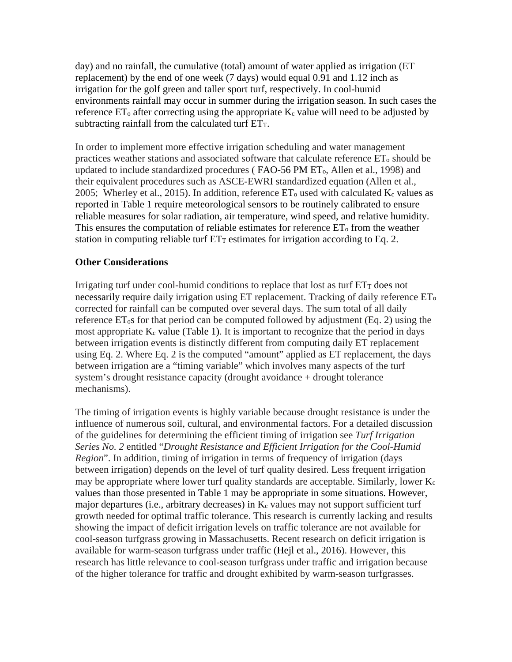day) and no rainfall, the cumulative (total) amount of water applied as irrigation (ET replacement) by the end of one week (7 days) would equal 0.91 and 1.12 inch as irrigation for the golf green and taller sport turf, respectively. In cool-humid environments rainfall may occur in summer during the irrigation season. In such cases the reference  $ET_0$  after correcting using the appropriate  $K_c$  value will need to be adjusted by subtracting rainfall from the calculated turf  $ET_T$ .

In order to implement more effective irrigation scheduling and water management practices weather stations and associated software that calculate reference  $ET_0$  should be updated to include standardized procedures ( FAO-56 PM ETo, Allen et al., 1998) and their equivalent procedures such as ASCE-EWRI standardized equation (Allen et al., 2005; Wherley et al., 2015). In addition, reference  $ET_0$  used with calculated  $K_c$  values as reported in Table 1 require meteorological sensors to be routinely calibrated to ensure reliable measures for solar radiation, air temperature, wind speed, and relative humidity. This ensures the computation of reliable estimates for reference  $ET_0$  from the weather station in computing reliable turf  $ET_T$  estimates for irrigation according to Eq. 2.

### **Other Considerations**

Irrigating turf under cool-humid conditions to replace that lost as turf  $ET<sub>T</sub>$  does not necessarily require daily irrigation using  $ET$  replacement. Tracking of daily reference  $ET_0$ corrected for rainfall can be computed over several days. The sum total of all daily reference ETos for that period can be computed followed by adjustment (Eq. 2) using the most appropriate  $K_c$  value (Table 1). It is important to recognize that the period in days between irrigation events is distinctly different from computing daily ET replacement using Eq. 2. Where Eq. 2 is the computed "amount" applied as ET replacement, the days between irrigation are a "timing variable" which involves many aspects of the turf system's drought resistance capacity (drought avoidance + drought tolerance mechanisms).

The timing of irrigation events is highly variable because drought resistance is under the influence of numerous soil, cultural, and environmental factors. For a detailed discussion of the guidelines for determining the efficient timing of irrigation see *Turf Irrigation Series No. 2* entitled "*Drought Resistance and Efficient Irrigation for the Cool-Humid Region*". In addition, timing of irrigation in terms of frequency of irrigation (days between irrigation) depends on the level of turf quality desired. Less frequent irrigation may be appropriate where lower turf quality standards are acceptable. Similarly, lower Kc values than those presented in Table 1 may be appropriate in some situations. However, major departures (i.e., arbitrary decreases) in  $K_c$  values may not support sufficient turf growth needed for optimal traffic tolerance. This research is currently lacking and results showing the impact of deficit irrigation levels on traffic tolerance are not available for cool-season turfgrass growing in Massachusetts. Recent research on deficit irrigation is available for warm-season turfgrass under traffic (Hejl et al., 2016). However, this research has little relevance to cool-season turfgrass under traffic and irrigation because of the higher tolerance for traffic and drought exhibited by warm-season turfgrasses.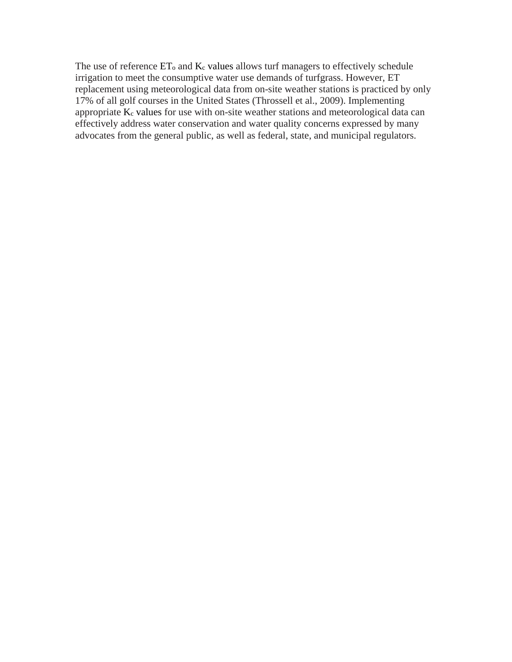The use of reference  $ET_0$  and  $K_c$  values allows turf managers to effectively schedule irrigation to meet the consumptive water use demands of turfgrass. However, ET replacement using meteorological data from on-site weather stations is practiced by only 17% of all golf courses in the United States (Throssell et al., 2009). Implementing appropriate  $K_c$  values for use with on-site weather stations and meteorological data can effectively address water conservation and water quality concerns expressed by many advocates from the general public, as well as federal, state, and municipal regulators.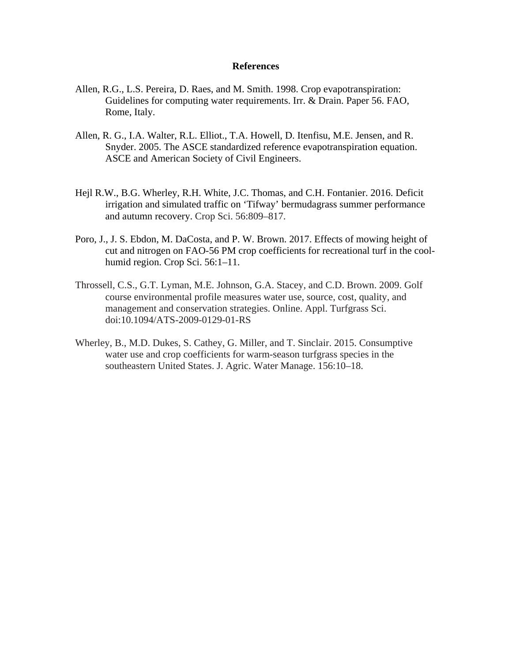#### **References**

- Allen, R.G., L.S. Pereira, D. Raes, and M. Smith. 1998. Crop evapotranspiration: Guidelines for computing water requirements. Irr. & Drain. Paper 56. FAO, Rome, Italy.
- Allen, R. G., I.A. Walter, R.L. Elliot., T.A. Howell, D. Itenfisu, M.E. Jensen, and R. Snyder. 2005. The ASCE standardized reference evapotranspiration equation. ASCE and American Society of Civil Engineers.
- Hejl R.W., B.G. Wherley, R.H. White, J.C. Thomas, and C.H. Fontanier. 2016. Deficit irrigation and simulated traffic on 'Tifway' bermudagrass summer performance and autumn recovery. Crop Sci. 56:809–817.
- Poro, J., J. S. Ebdon, M. DaCosta, and P. W. Brown. 2017. Effects of mowing height of cut and nitrogen on FAO-56 PM crop coefficients for recreational turf in the coolhumid region. Crop Sci. 56:1–11.
- Throssell, C.S., G.T. Lyman, M.E. Johnson, G.A. Stacey, and C.D. Brown. 2009. Golf course environmental profile measures water use, source, cost, quality, and management and conservation strategies. Online. Appl. Turfgrass Sci. doi:10.1094/ATS-2009-0129-01-RS
- Wherley, B., M.D. Dukes, S. Cathey, G. Miller, and T. Sinclair. 2015. Consumptive water use and crop coefficients for warm-season turfgrass species in the southeastern United States. J. Agric. Water Manage. 156:10–18.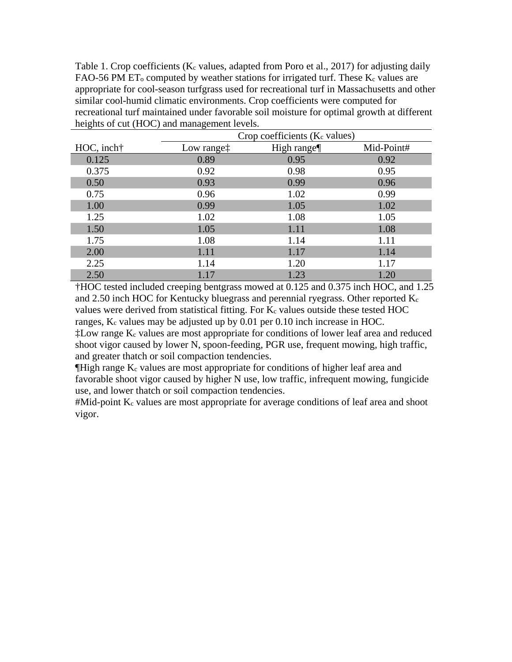Table 1. Crop coefficients ( $K_c$  values, adapted from Poro et al., 2017) for adjusting daily FAO-56 PM  $ET_0$  computed by weather stations for irrigated turf. These  $K_c$  values are appropriate for cool-season turfgrass used for recreational turf in Massachusetts and other similar cool-humid climatic environments. Crop coefficients were computed for recreational turf maintained under favorable soil moisture for optimal growth at different heights of cut (HOC) and management levels.

|           | Crop coefficients (K <sub>c</sub> values) |            |            |
|-----------|-------------------------------------------|------------|------------|
| HOC, inch | Low range <sup>†</sup>                    | High range | Mid-Point# |
| 0.125     | 0.89                                      | 0.95       | 0.92       |
| 0.375     | 0.92                                      | 0.98       | 0.95       |
| 0.50      | 0.93                                      | 0.99       | 0.96       |
| 0.75      | 0.96                                      | 1.02       | 0.99       |
| 1.00      | 0.99                                      | 1.05       | 1.02       |
| 1.25      | 1.02                                      | 1.08       | 1.05       |
| 1.50      | 1.05                                      | 1.11       | 1.08       |
| 1.75      | 1.08                                      | 1.14       | 1.11       |
| 2.00      | 1.11                                      | 1.17       | 1.14       |
| 2.25      | 1.14                                      | 1.20       | 1.17       |
| 2.50      | 1.17                                      | 1.23       | 1.20       |

†HOC tested included creeping bentgrass mowed at 0.125 and 0.375 inch HOC, and 1.25 and 2.50 inch HOC for Kentucky bluegrass and perennial ryegrass. Other reported  $K_c$ values were derived from statistical fitting. For  $K_c$  values outside these tested HOC ranges,  $K_c$  values may be adjusted up by 0.01 per 0.10 inch increase in HOC.  $\ddagger$ Low range K<sub>c</sub> values are most appropriate for conditions of lower leaf area and reduced shoot vigor caused by lower N, spoon-feeding, PGR use, frequent mowing, high traffic,

and greater thatch or soil compaction tendencies.

 $\P$ High range  $K_c$  values are most appropriate for conditions of higher leaf area and favorable shoot vigor caused by higher N use, low traffic, infrequent mowing, fungicide use, and lower thatch or soil compaction tendencies.

#Mid-point Kc values are most appropriate for average conditions of leaf area and shoot vigor.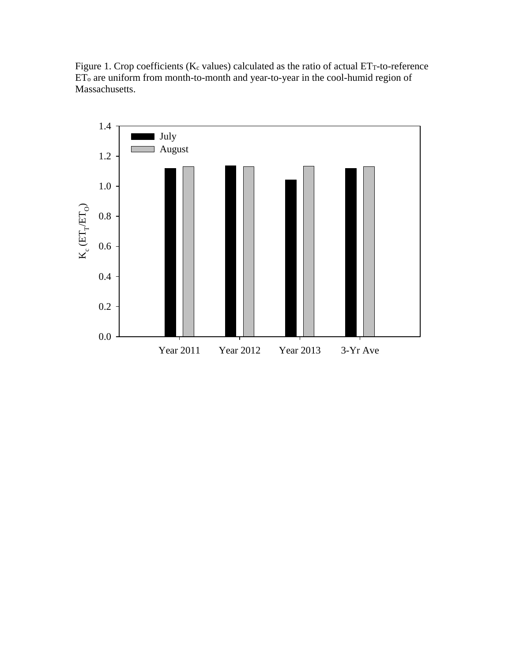Figure 1. Crop coefficients ( $K_c$  values) calculated as the ratio of actual  $ET_T$ -to-reference ETo are uniform from month-to-month and year-to-year in the cool-humid region of Massachusetts.

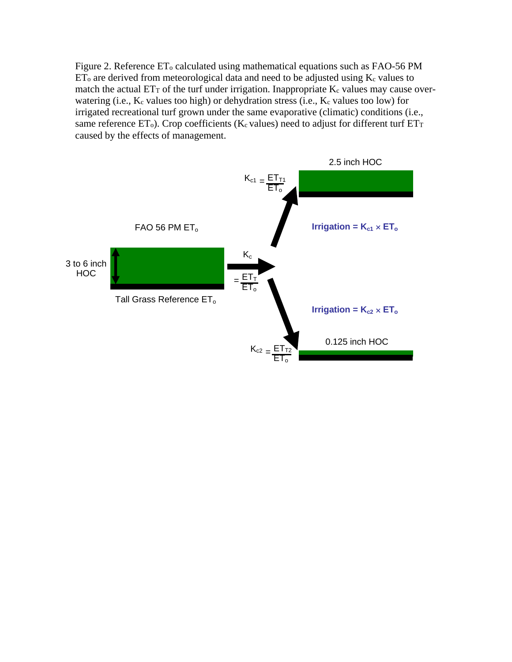Figure 2. Reference  $ET_0$  calculated using mathematical equations such as FAO-56 PM  $ET_0$  are derived from meteorological data and need to be adjusted using  $K_c$  values to match the actual  $ET<sub>T</sub>$  of the turf under irrigation. Inappropriate  $K<sub>c</sub>$  values may cause overwatering (i.e.,  $K_c$  values too high) or dehydration stress (i.e.,  $K_c$  values too low) for irrigated recreational turf grown under the same evaporative (climatic) conditions (i.e., same reference  $ET_0$ ). Crop coefficients (K<sub>c</sub> values) need to adjust for different turf  $ET_T$ caused by the effects of management.